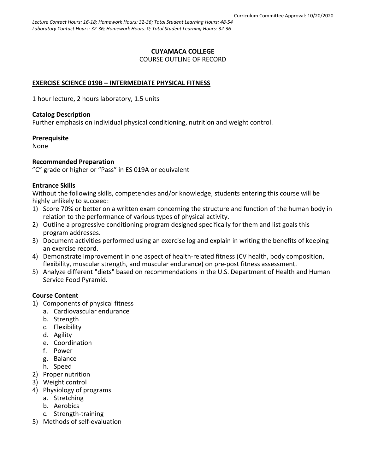#### **CUYAMACA COLLEGE** COURSE OUTLINE OF RECORD

### **EXERCISE SCIENCE 019B – INTERMEDIATE PHYSICAL FITNESS**

1 hour lecture, 2 hours laboratory, 1.5 units

#### **Catalog Description**

Further emphasis on individual physical conditioning, nutrition and weight control.

**Prerequisite**

None

#### **Recommended Preparation**

"C" grade or higher or "Pass" in ES 019A or equivalent

#### **Entrance Skills**

Without the following skills, competencies and/or knowledge, students entering this course will be highly unlikely to succeed:

- 1) Score 70% or better on a written exam concerning the structure and function of the human body in relation to the performance of various types of physical activity.
- 2) Outline a progressive conditioning program designed specifically for them and list goals this program addresses.
- 3) Document activities performed using an exercise log and explain in writing the benefits of keeping an exercise record.
- 4) Demonstrate improvement in one aspect of health-related fitness (CV health, body composition, flexibility, muscular strength, and muscular endurance) on pre-post fitness assessment.
- 5) Analyze different "diets" based on recommendations in the U.S. Department of Health and Human Service Food Pyramid.

### **Course Content**

- 1) Components of physical fitness
	- a. Cardiovascular endurance
	- b. Strength
	- c. Flexibility
	- d. Agility
	- e. Coordination
	- f. Power
	- g. Balance
	- h. Speed
- 2) Proper nutrition
- 3) Weight control
- 4) Physiology of programs
	- a. Stretching
	- b. Aerobics
	- c. Strength-training
- 5) Methods of self-evaluation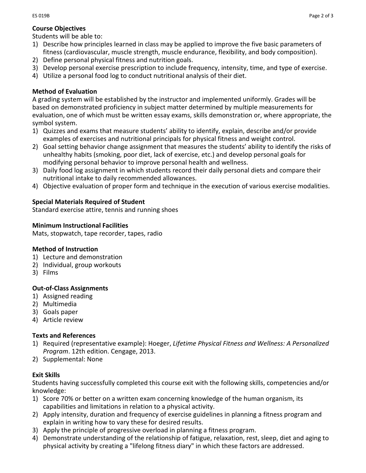## **Course Objectives**

Students will be able to:

- 1) Describe how principles learned in class may be applied to improve the five basic parameters of fitness (cardiovascular, muscle strength, muscle endurance, flexibility, and body composition).
- 2) Define personal physical fitness and nutrition goals.
- 3) Develop personal exercise prescription to include frequency, intensity, time, and type of exercise.
- 4) Utilize a personal food log to conduct nutritional analysis of their diet.

## **Method of Evaluation**

A grading system will be established by the instructor and implemented uniformly. Grades will be based on demonstrated proficiency in subject matter determined by multiple measurements for evaluation, one of which must be written essay exams, skills demonstration or, where appropriate, the symbol system.

- 1) Quizzes and exams that measure students' ability to identify, explain, describe and/or provide examples of exercises and nutritional principals for physical fitness and weight control.
- 2) Goal setting behavior change assignment that measures the students' ability to identify the risks of unhealthy habits (smoking, poor diet, lack of exercise, etc.) and develop personal goals for modifying personal behavior to improve personal health and wellness.
- 3) Daily food log assignment in which students record their daily personal diets and compare their nutritional intake to daily recommended allowances.
- 4) Objective evaluation of proper form and technique in the execution of various exercise modalities.

## **Special Materials Required of Student**

Standard exercise attire, tennis and running shoes

## **Minimum Instructional Facilities**

Mats, stopwatch, tape recorder, tapes, radio

## **Method of Instruction**

- 1) Lecture and demonstration
- 2) Individual, group workouts
- 3) Films

## **Out-of-Class Assignments**

- 1) Assigned reading
- 2) Multimedia
- 3) Goals paper
- 4) Article review

# **Texts and References**

- 1) Required (representative example): Hoeger, *[Lifetime Physical Fitness and Wellness: A Personalized](http://www.amazon.com/Lifetime-Physical-Fitness-Wellness-Personalized/dp/1285733142/ref=sr_1_3?s=books&ie=UTF8&qid=1392163558&sr=1-3&keywords=fitness+textbook)  [Program](http://www.amazon.com/Lifetime-Physical-Fitness-Wellness-Personalized/dp/1285733142/ref=sr_1_3?s=books&ie=UTF8&qid=1392163558&sr=1-3&keywords=fitness+textbook)*. 12th edition. Cengage, 2013.
- 2) Supplemental: None

# **Exit Skills**

Students having successfully completed this course exit with the following skills, competencies and/or knowledge:

- 1) Score 70% or better on a written exam concerning knowledge of the human organism, its capabilities and limitations in relation to a physical activity.
- 2) Apply intensity, duration and frequency of exercise guidelines in planning a fitness program and explain in writing how to vary these for desired results.
- 3) Apply the principle of progressive overload in planning a fitness program.
- 4) Demonstrate understanding of the relationship of fatigue, relaxation, rest, sleep, diet and aging to physical activity by creating a "lifelong fitness diary" in which these factors are addressed.